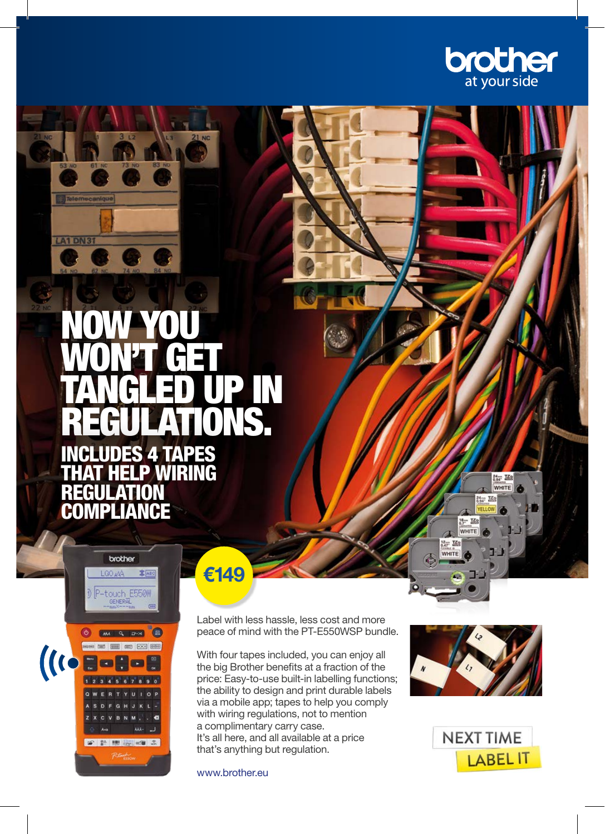

## NOW YOU WON'T GET TANGLED UP IN NS. **FS 4 TAPFS** IRING REGULATION APLIANCE



**A1 DN3** 

€149

Label with less hassle, less cost and more peace of mind with the PT-E550WSP bundle.

With four tapes included, you can enjoy all the big Brother benefits at a fraction of the price: Easy-to-use built-in labelling functions; the ability to design and print durable labels via a mobile app; tapes to help you comply with wiring regulations, not to mention a complimentary carry case. It's all here, and all available at a price that's anything but regulation.

www.brother.eu



 $18 - TZ$ WHITE  $\frac{12}{0.47}$   $\frac{12}{0.47}$ 

 $\frac{M_{\text{tot}}}{M}$   $\frac{M_{\text{H}}}{M}$ WHITE  $24 - TZ$